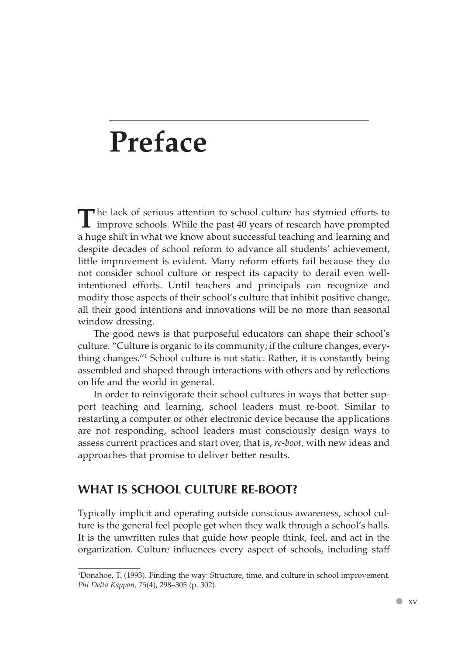# **Preface**

The lack of serious attention to school culture has stymied efforts to improve schools. While the past 40 years of research have prompted a huge shift in what we know about successful teaching and learning and despite decades of school reform to advance all students' achievement, little improvement is evident. Many reform efforts fail because they do not consider school culture or respect its capacity to derail even wellintentioned efforts. Until teachers and principals can recognize and modify those aspects of their school's culture that inhibit positive change, all their good intentions and innovations will be no more than seasonal window dressing.

The good news is that purposeful educators can shape their school's culture. "Culture is organic to its community; if the culture changes, everything changes."1 School culture is not static. Rather, it is constantly being assembled and shaped through interactions with others and by reflections on life and the world in general.

In order to reinvigorate their school cultures in ways that better support teaching and learning, school leaders must re-boot. Similar to restarting a computer or other electronic device because the applications are not responding, school leaders must consciously design ways to assess current practices and start over, that is, *re-boot,* with new ideas and approaches that promise to deliver better results.

### **WHAT IS SCHOOL CULTURE RE-BOOT?**

Typically implicit and operating outside conscious awareness, school culture is the general feel people get when they walk through a school's halls. It is the unwritten rules that guide how people think, feel, and act in the organization. Culture influences every aspect of schools, including staff

<sup>1</sup> Donahoe, T. (1993). Finding the way: Structure, time, and culture in school improvement. *Phi Delta Kappan, 75*(4), 298–305 (p. 302).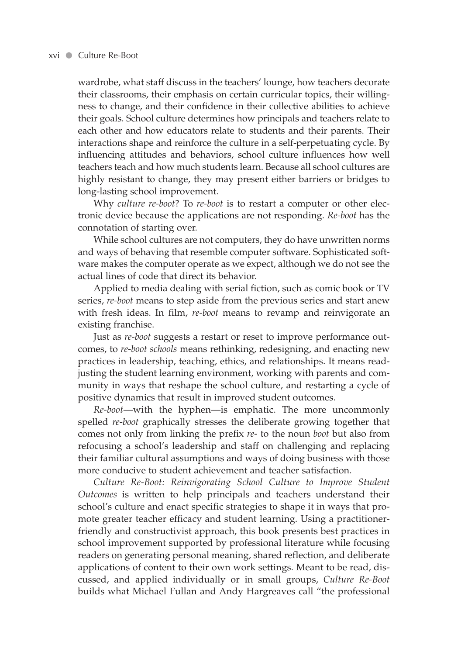# xvi ● Culture Re-Boot

wardrobe, what staff discuss in the teachers' lounge, how teachers decorate their classrooms, their emphasis on certain curricular topics, their willingness to change, and their confidence in their collective abilities to achieve their goals. School culture determines how principals and teachers relate to each other and how educators relate to students and their parents. Their interactions shape and reinforce the culture in a self-perpetuating cycle. By influencing attitudes and behaviors, school culture influences how well teachers teach and how much students learn. Because all school cultures are highly resistant to change, they may present either barriers or bridges to long-lasting school improvement.

Why *culture re-boot*? To *re-boot* is to restart a computer or other electronic device because the applications are not responding. *Re-boot* has the connotation of starting over.

While school cultures are not computers, they do have unwritten norms and ways of behaving that resemble computer software. Sophisticated software makes the computer operate as we expect, although we do not see the actual lines of code that direct its behavior.

Applied to media dealing with serial fiction, such as comic book or TV series, *re-boot* means to step aside from the previous series and start anew with fresh ideas. In film, *re-boot* means to revamp and reinvigorate an existing franchise.

Just as *re-boot* suggests a restart or reset to improve performance outcomes, to *re-boot schools* means rethinking, redesigning, and enacting new practices in leadership, teaching, ethics, and relationships. It means readjusting the student learning environment, working with parents and community in ways that reshape the school culture, and restarting a cycle of positive dynamics that result in improved student outcomes.

*Re-boot*—with the hyphen—is emphatic. The more uncommonly spelled *re-boot* graphically stresses the deliberate growing together that comes not only from linking the prefix *re*- to the noun *boot* but also from refocusing a school's leadership and staff on challenging and replacing their familiar cultural assumptions and ways of doing business with those more conducive to student achievement and teacher satisfaction.

*Culture Re-Boot: Reinvigorating School Culture to Improve Student Outcomes* is written to help principals and teachers understand their school's culture and enact specific strategies to shape it in ways that promote greater teacher efficacy and student learning. Using a practitionerfriendly and constructivist approach, this book presents best practices in school improvement supported by professional literature while focusing readers on generating personal meaning, shared reflection, and deliberate applications of content to their own work settings. Meant to be read, discussed, and applied individually or in small groups, *Culture Re-Boot* builds what Michael Fullan and Andy Hargreaves call "the professional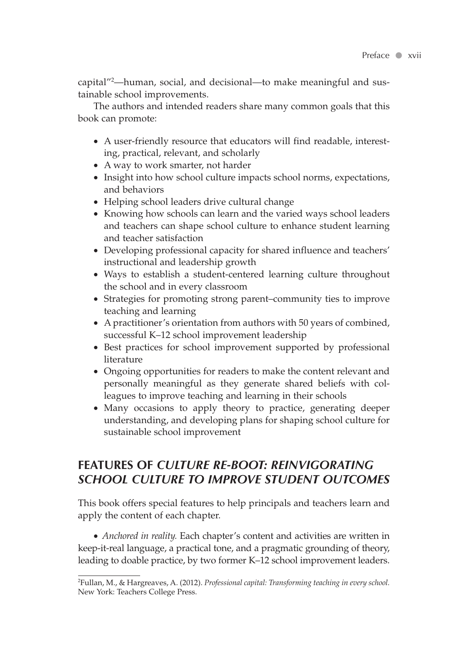capital"2 —human, social, and decisional—to make meaningful and sustainable school improvements.

The authors and intended readers share many common goals that this book can promote:

- • A user-friendly resource that educators will find readable, interesting, practical, relevant, and scholarly
- A way to work smarter, not harder
- Insight into how school culture impacts school norms, expectations, and behaviors
- Helping school leaders drive cultural change
- Knowing how schools can learn and the varied ways school leaders and teachers can shape school culture to enhance student learning and teacher satisfaction
- Developing professional capacity for shared influence and teachers' instructional and leadership growth
- Ways to establish a student-centered learning culture throughout the school and in every classroom
- Strategies for promoting strong parent–community ties to improve teaching and learning
- A practitioner's orientation from authors with 50 years of combined, successful K–12 school improvement leadership
- Best practices for school improvement supported by professional literature
- Ongoing opportunities for readers to make the content relevant and personally meaningful as they generate shared beliefs with colleagues to improve teaching and learning in their schools
- Many occasions to apply theory to practice, generating deeper understanding, and developing plans for shaping school culture for sustainable school improvement

# **FEATURES OF** *CULTURE RE-BOOT: REINVIGORATING SCHOOL CULTURE TO IMPROVE STUDENT OUTCOMES*

This book offers special features to help principals and teachers learn and apply the content of each chapter.

• *Anchored in reality.* Each chapter's content and activities are written in keep-it-real language, a practical tone, and a pragmatic grounding of theory, leading to doable practice, by two former K–12 school improvement leaders.

<sup>2</sup> Fullan, M., & Hargreaves, A. (2012). *Professional capital: Transforming teaching in every school.* New York: Teachers College Press.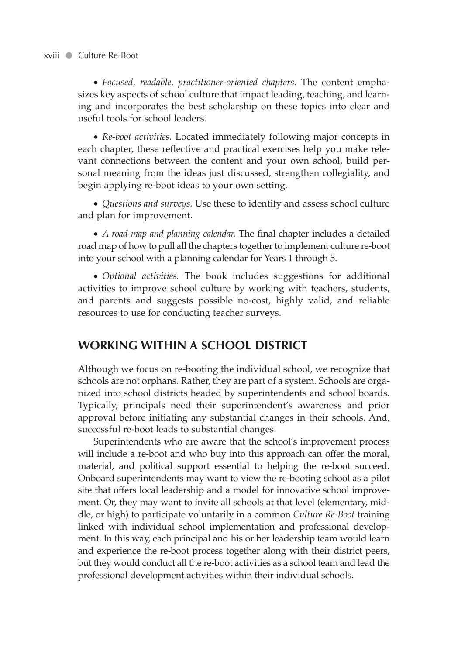• *Focused, readable, practitioner-oriented chapters.* The content emphasizes key aspects of school culture that impact leading, teaching, and learning and incorporates the best scholarship on these topics into clear and useful tools for school leaders.

• *Re-boot activities.* Located immediately following major concepts in each chapter, these reflective and practical exercises help you make relevant connections between the content and your own school, build personal meaning from the ideas just discussed, strengthen collegiality, and begin applying re-boot ideas to your own setting.

• *Questions and surveys.* Use these to identify and assess school culture and plan for improvement.

• *A road map and planning calendar.* The final chapter includes a detailed road map of how to pull all the chapters together to implement culture re-boot into your school with a planning calendar for Years 1 through 5.

• *Optional activities.* The book includes suggestions for additional activities to improve school culture by working with teachers, students, and parents and suggests possible no-cost, highly valid, and reliable resources to use for conducting teacher surveys.

# **WORKING WITHIN A SCHOOL DISTRICT**

Although we focus on re-booting the individual school, we recognize that schools are not orphans. Rather, they are part of a system. Schools are organized into school districts headed by superintendents and school boards. Typically, principals need their superintendent's awareness and prior approval before initiating any substantial changes in their schools. And, successful re-boot leads to substantial changes.

Superintendents who are aware that the school's improvement process will include a re-boot and who buy into this approach can offer the moral, material, and political support essential to helping the re-boot succeed. Onboard superintendents may want to view the re-booting school as a pilot site that offers local leadership and a model for innovative school improvement. Or, they may want to invite all schools at that level (elementary, middle, or high) to participate voluntarily in a common *Culture Re-Boot* training linked with individual school implementation and professional development. In this way, each principal and his or her leadership team would learn and experience the re-boot process together along with their district peers, but they would conduct all the re-boot activities as a school team and lead the professional development activities within their individual schools.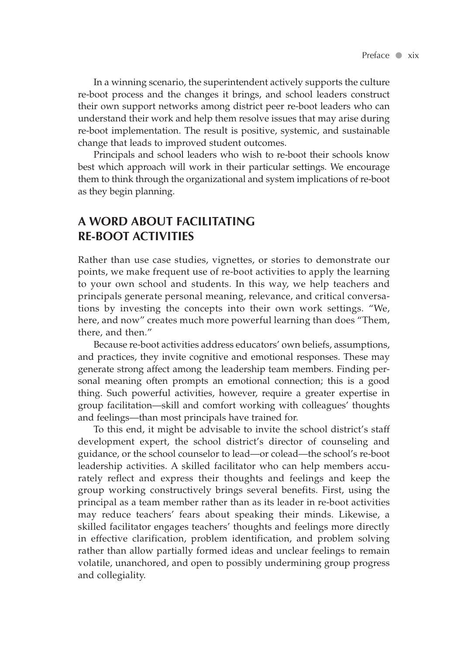In a winning scenario, the superintendent actively supports the culture re-boot process and the changes it brings, and school leaders construct their own support networks among district peer re-boot leaders who can understand their work and help them resolve issues that may arise during re-boot implementation. The result is positive, systemic, and sustainable change that leads to improved student outcomes.

Principals and school leaders who wish to re-boot their schools know best which approach will work in their particular settings. We encourage them to think through the organizational and system implications of re-boot as they begin planning.

## **A WORD ABOUT FACILITATING RE-BOOT ACTIVITIES**

Rather than use case studies, vignettes, or stories to demonstrate our points, we make frequent use of re-boot activities to apply the learning to your own school and students. In this way, we help teachers and principals generate personal meaning, relevance, and critical conversations by investing the concepts into their own work settings. "We, here, and now" creates much more powerful learning than does "Them, there, and then."

Because re-boot activities address educators' own beliefs, assumptions, and practices, they invite cognitive and emotional responses. These may generate strong affect among the leadership team members. Finding personal meaning often prompts an emotional connection; this is a good thing. Such powerful activities, however, require a greater expertise in group facilitation—skill and comfort working with colleagues' thoughts and feelings—than most principals have trained for.

To this end, it might be advisable to invite the school district's staff development expert, the school district's director of counseling and guidance, or the school counselor to lead—or colead—the school's re-boot leadership activities. A skilled facilitator who can help members accurately reflect and express their thoughts and feelings and keep the group working constructively brings several benefits. First, using the principal as a team member rather than as its leader in re-boot activities may reduce teachers' fears about speaking their minds. Likewise, a skilled facilitator engages teachers' thoughts and feelings more directly in effective clarification, problem identification, and problem solving rather than allow partially formed ideas and unclear feelings to remain volatile, unanchored, and open to possibly undermining group progress and collegiality.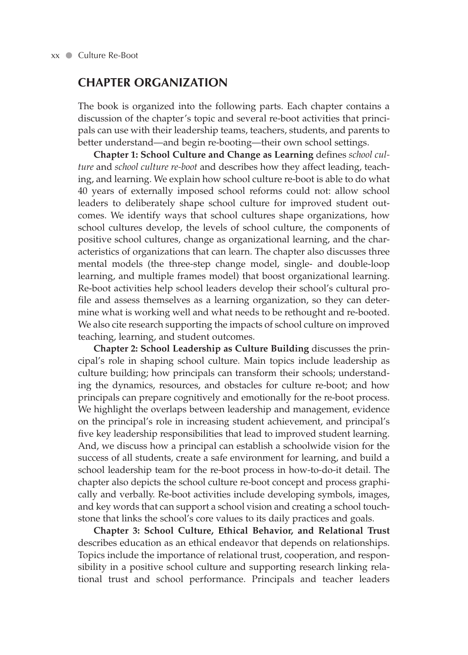### **CHAPTER ORGANIZATION**

The book is organized into the following parts. Each chapter contains a discussion of the chapter's topic and several re-boot activities that principals can use with their leadership teams, teachers, students, and parents to better understand—and begin re-booting—their own school settings.

**Chapter 1: School Culture and Change as Learning** defines *school culture* and *school culture re-boot* and describes how they affect leading, teaching, and learning. We explain how school culture re-boot is able to do what 40 years of externally imposed school reforms could not: allow school leaders to deliberately shape school culture for improved student outcomes. We identify ways that school cultures shape organizations, how school cultures develop, the levels of school culture, the components of positive school cultures, change as organizational learning, and the characteristics of organizations that can learn. The chapter also discusses three mental models (the three-step change model, single- and double-loop learning, and multiple frames model) that boost organizational learning. Re-boot activities help school leaders develop their school's cultural profile and assess themselves as a learning organization, so they can determine what is working well and what needs to be rethought and re-booted. We also cite research supporting the impacts of school culture on improved teaching, learning, and student outcomes.

**Chapter 2: School Leadership as Culture Building** discusses the principal's role in shaping school culture. Main topics include leadership as culture building; how principals can transform their schools; understanding the dynamics, resources, and obstacles for culture re-boot; and how principals can prepare cognitively and emotionally for the re-boot process. We highlight the overlaps between leadership and management, evidence on the principal's role in increasing student achievement, and principal's five key leadership responsibilities that lead to improved student learning. And, we discuss how a principal can establish a schoolwide vision for the success of all students, create a safe environment for learning, and build a school leadership team for the re-boot process in how-to-do-it detail. The chapter also depicts the school culture re-boot concept and process graphically and verbally. Re-boot activities include developing symbols, images, and key words that can support a school vision and creating a school touchstone that links the school's core values to its daily practices and goals.

**Chapter 3: School Culture, Ethical Behavior, and Relational Trust** describes education as an ethical endeavor that depends on relationships. Topics include the importance of relational trust, cooperation, and responsibility in a positive school culture and supporting research linking relational trust and school performance. Principals and teacher leaders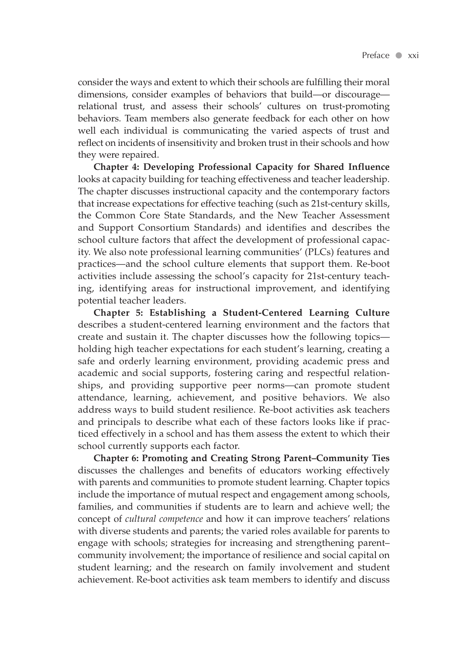consider the ways and extent to which their schools are fulfilling their moral dimensions, consider examples of behaviors that build—or discourage relational trust, and assess their schools' cultures on trust-promoting behaviors. Team members also generate feedback for each other on how well each individual is communicating the varied aspects of trust and reflect on incidents of insensitivity and broken trust in their schools and how they were repaired.

**Chapter 4: Developing Professional Capacity for Shared Influence**  looks at capacity building for teaching effectiveness and teacher leadership. The chapter discusses instructional capacity and the contemporary factors that increase expectations for effective teaching (such as 21st-century skills, the Common Core State Standards, and the New Teacher Assessment and Support Consortium Standards) and identifies and describes the school culture factors that affect the development of professional capacity. We also note professional learning communities' (PLCs) features and practices—and the school culture elements that support them. Re-boot activities include assessing the school's capacity for 21st-century teaching, identifying areas for instructional improvement, and identifying potential teacher leaders.

**Chapter 5: Establishing a Student-Centered Learning Culture** describes a student-centered learning environment and the factors that create and sustain it. The chapter discusses how the following topics holding high teacher expectations for each student's learning, creating a safe and orderly learning environment, providing academic press and academic and social supports, fostering caring and respectful relationships, and providing supportive peer norms—can promote student attendance, learning, achievement, and positive behaviors. We also address ways to build student resilience. Re-boot activities ask teachers and principals to describe what each of these factors looks like if practiced effectively in a school and has them assess the extent to which their school currently supports each factor.

**Chapter 6: Promoting and Creating Strong Parent–Community Ties** discusses the challenges and benefits of educators working effectively with parents and communities to promote student learning. Chapter topics include the importance of mutual respect and engagement among schools, families, and communities if students are to learn and achieve well; the concept of *cultural competence* and how it can improve teachers' relations with diverse students and parents; the varied roles available for parents to engage with schools; strategies for increasing and strengthening parent– community involvement; the importance of resilience and social capital on student learning; and the research on family involvement and student achievement. Re-boot activities ask team members to identify and discuss